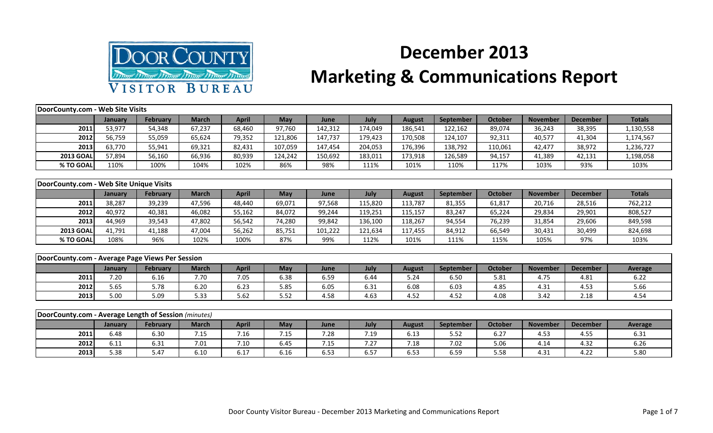

## **December 2013**

## **Marketing & Communications Report**

| DoorCounty.com - Web Site Visits                     |         |                 |              |              |            |         |         |               |                  |                |                 |                 |                |
|------------------------------------------------------|---------|-----------------|--------------|--------------|------------|---------|---------|---------------|------------------|----------------|-----------------|-----------------|----------------|
|                                                      | January | <b>February</b> | <b>March</b> | <b>April</b> | <b>May</b> | June    | July    | <b>August</b> | <b>September</b> | <b>October</b> | <b>November</b> | <b>December</b> | <b>Totals</b>  |
| 2011                                                 | 53,977  | 54,348          | 67,237       | 68,460       | 97,760     | 142,312 | 174,049 | 186,541       | 122,162          | 89,074         | 36,243          | 38,395          | 1,130,558      |
| 2012                                                 | 56,759  | 55,059          | 65,624       | 79,352       | 121,806    | 147,737 | 179,423 | 170,508       | 124,107          | 92,311         | 40,577          | 41,304          | 1,174,567      |
| 2013                                                 | 63,770  | 55,941          | 69,321       | 82,431       | 107,059    | 147,454 | 204,053 | 176,396       | 138,792          | 110,061        | 42,477          | 38,972          | 1,236,727      |
| <b>2013 GOAL</b>                                     | 57,894  | 56,160          | 66,936       | 80,939       | 124,242    | 150,692 | 183,011 | 173,918       | 126,589          | 94,157         | 41,389          | 42,131          | 1,198,058      |
| % TO GOAL                                            | 110%    | 100%            | 104%         | 102%         | 86%        | 98%     | 111%    | 101%          | 110%             | 117%           | 103%            | 93%             | 103%           |
|                                                      |         |                 |              |              |            |         |         |               |                  |                |                 |                 |                |
| DoorCounty.com - Web Site Unique Visits              |         |                 |              |              |            |         |         |               |                  |                |                 |                 |                |
|                                                      | January | <b>February</b> | <b>March</b> | <b>April</b> | May        | June    | July    | <b>August</b> | September        | <b>October</b> | <b>November</b> | <b>December</b> | <b>Totals</b>  |
| 2011                                                 | 38,287  | 39,239          | 47,596       | 48,440       | 69,071     | 97,568  | 115,820 | 113,787       | 81,355           | 61,817         | 20,716          | 28,516          | 762,212        |
| 2012                                                 | 40,972  | 40,381          | 46,082       | 55,162       | 84,072     | 99,244  | 119,251 | 115,157       | 83,247           | 65,224         | 29,834          | 29,901          | 808,527        |
| 2013                                                 | 44,969  | 39,543          | 47,802       | 56,542       | 74,280     | 99,842  | 136,100 | 118,267       | 94,554           | 76,239         | 31,854          | 29,606          | 849,598        |
| <b>2013 GOAL</b>                                     | 41,791  | 41,188          | 47,004       | 56,262       | 85,751     | 101,222 | 121,634 | 117,455       | 84,912           | 66,549         | 30,431          | 30,499          | 824,698        |
| % TO GOAL                                            | 108%    | 96%             | 102%         | 100%         | 87%        | 99%     | 112%    | 101%          | 111%             | 115%           | 105%            | 97%             | 103%           |
|                                                      |         |                 |              |              |            |         |         |               |                  |                |                 |                 |                |
| DoorCounty.com - Average Page Views Per Session      |         |                 |              |              |            |         |         |               |                  |                |                 |                 |                |
|                                                      | January | February        | <b>March</b> | <b>April</b> | May        | June    | July    | <b>August</b> | September        | <b>October</b> | <b>November</b> | <b>December</b> | <b>Average</b> |
| 2011                                                 | 7.20    | 6.16            | 7.70         | 7.05         | 6.38       | 6.59    | 6.44    | 5.24          | 6.50             | 5.81           | 4.75            | 4.81            | 6.22           |
| 2012                                                 | 5.65    | 5.78            | 6.20         | 6.23         | 5.85       | 6.05    | 6.31    | 6.08          | 6.03             | 4.85           | 4.31            | 4.53            | 5.66           |
| 2013                                                 | 5.00    | 5.09            | 5.33         | 5.62         | 5.52       | 4.58    | 4.63    | 4.52          | 4.52             | 4.08           | 3.42            | 2.18            | 4.54           |
|                                                      |         |                 |              |              |            |         |         |               |                  |                |                 |                 |                |
| DoorCounty.com - Average Length of Session (minutes) |         |                 |              |              |            |         |         |               |                  |                |                 |                 |                |
|                                                      | January | February        | <b>March</b> | <b>April</b> | May        | June    | July    | <b>August</b> | <b>September</b> | <b>October</b> | <b>November</b> | <b>December</b> | <b>Average</b> |
| 2011                                                 | 6.48    | 6.30            | 7.15         | 7.16         | 7.15       | 7.28    | 7.19    | 6.13          | 5.52             | 6.27           | 4.53            | 4.55            | 6.31           |
| 2012                                                 | 6.11    | 6.31            | 7.01         | 7.10         | 6.45       | 7.15    | 7.27    | 7.18          | 7.02             | 5.06           | 4.14            | 4.32            | 6.26           |

**2013**| 5.38 | 5.47 | 6.10 | 6.17 | 6.16 | 6.53 | 6.57 | 6.53 | 6.59 | 5.58 | 4.31 | 4.22 | 5.80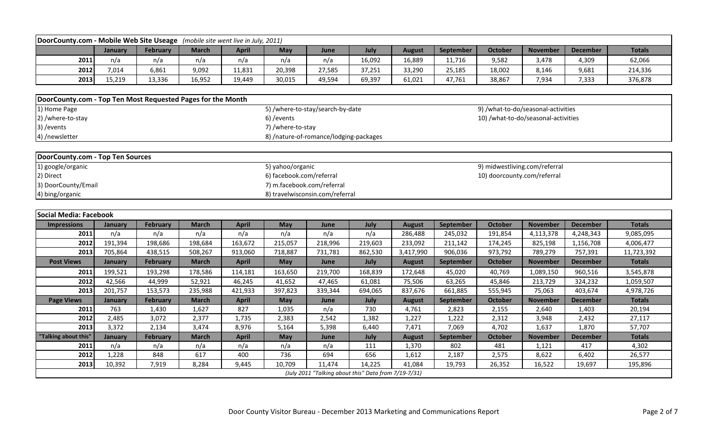| DoorCounty.com - Mobile Web Site Useage (mobile site went live in July, 2011) |         |                 |              |              |                            |                                                                |         |               |                  |                             |                                     |                 |               |
|-------------------------------------------------------------------------------|---------|-----------------|--------------|--------------|----------------------------|----------------------------------------------------------------|---------|---------------|------------------|-----------------------------|-------------------------------------|-----------------|---------------|
|                                                                               | January | <b>February</b> | <b>March</b> | <b>April</b> | May                        | June                                                           | July    | <b>August</b> | September        | <b>October</b>              | <b>November</b>                     | <b>December</b> | <b>Totals</b> |
| 2011                                                                          | n/a     | n/a             | n/a          | n/a          | n/a                        | n/a                                                            | 16,092  | 16,889        | 11,716           | 9,582                       | 3,478                               | 4,309           | 62,066        |
| 2012                                                                          | 7,014   | 6,861           | 9,092        | 11,831       | 20,398                     | 27,585                                                         | 37,251  | 33,290        | 25,185           | 18,002                      | 8,146                               | 9,681           | 214,336       |
| 2013                                                                          | 15,219  | 13,336          | 16,952       | 19,449       | 30,015                     | 49,594                                                         | 69,397  | 61,021        | 47,761           | 38,867                      | 7,934                               | 7,333           | 376,878       |
|                                                                               |         |                 |              |              |                            |                                                                |         |               |                  |                             |                                     |                 |               |
| DoorCounty.com - Top Ten Most Requested Pages for the Month                   |         |                 |              |              |                            |                                                                |         |               |                  |                             |                                     |                 |               |
| 1) Home Page                                                                  |         |                 |              |              |                            | 5) /where-to-stay/search-by-date                               |         |               |                  |                             | 9) /what-to-do/seasonal-activities  |                 |               |
| 2) /where-to-stay                                                             |         |                 |              |              | 6) / events                |                                                                |         |               |                  |                             | 10) /what-to-do/seasonal-activities |                 |               |
| 3) / events                                                                   |         |                 |              |              | 7) /where-to-stay          |                                                                |         |               |                  |                             |                                     |                 |               |
| 4) /newsletter                                                                |         |                 |              |              |                            | 8) /nature-of-romance/lodging-packages                         |         |               |                  |                             |                                     |                 |               |
|                                                                               |         |                 |              |              |                            |                                                                |         |               |                  |                             |                                     |                 |               |
| DoorCounty.com - Top Ten Sources                                              |         |                 |              |              |                            |                                                                |         |               |                  |                             |                                     |                 |               |
| 1) google/organic                                                             |         |                 |              |              | 5) yahoo/organic           |                                                                |         |               |                  |                             | 9) midwestliving.com/referral       |                 |               |
| 2) Direct                                                                     |         |                 |              |              | 6) facebook.com/referral   |                                                                |         |               |                  | 10) doorcounty.com/referral |                                     |                 |               |
| 3) DoorCounty/Email                                                           |         |                 |              |              | 7) m.facebook.com/referral |                                                                |         |               |                  |                             |                                     |                 |               |
| 4) bing/organic                                                               |         |                 |              |              |                            | 8) travelwisconsin.com/referral                                |         |               |                  |                             |                                     |                 |               |
|                                                                               |         |                 |              |              |                            |                                                                |         |               |                  |                             |                                     |                 |               |
|                                                                               |         |                 |              |              |                            |                                                                |         |               |                  |                             |                                     |                 |               |
| <b>Social Media: Facebook</b>                                                 |         |                 |              |              |                            |                                                                |         |               |                  |                             |                                     |                 |               |
| <b>Impressions</b>                                                            | January | February        | <b>March</b> | <b>April</b> | May                        | June                                                           | July    | <b>August</b> | September        | <b>October</b>              | <b>November</b>                     | <b>December</b> | <b>Totals</b> |
| 2011                                                                          | n/a     | n/a             | n/a          | n/a          | n/a                        | n/a                                                            | n/a     | 286,488       | 245,032          | 191,854                     | 4,113,378                           | 4,248,343       | 9,085,095     |
| 2012                                                                          | 191,394 | 198,686         | 198,684      | 163,672      | 215,057                    | 218,996                                                        | 219,603 | 233,092       | 211,142          | 174,245                     | 825,198                             | 1,156,708       | 4,006,477     |
| 2013                                                                          | 705,864 | 438,515         | 508,267      | 913,060      | 718,887                    | 731,781                                                        | 862,530 | 3,417,990     | 906,036          | 973,792                     | 789,279                             | 757,391         | 11,723,392    |
| <b>Post Views</b>                                                             | January | <b>February</b> | <b>March</b> | <b>April</b> | <b>May</b>                 | June                                                           | July    | <b>August</b> | <b>September</b> | <b>October</b>              | <b>November</b>                     | <b>December</b> | <b>Totals</b> |
| 2011                                                                          | 199,521 | 193,298         | 178,586      | 114,181      | 163,650                    | 219,700                                                        | 168,839 | 172,648       | 45,020           | 40,769                      | 1,089,150                           | 960,516         | 3,545,878     |
| 2012                                                                          | 42,566  | 44,999          | 52,921       | 46,245       | 41,652                     | 47,465                                                         | 61,081  | 75,506        | 63,265           | 45,846                      | 213,729                             | 324,232         | 1,059,507     |
| 2013                                                                          | 201,757 | 153,573         | 235,988      | 421,933      | 397,823                    | 339,344                                                        | 694,065 | 837,676       | 661,885          | 555,945                     | 75,063                              | 403,674         | 4,978,726     |
| <b>Page Views</b>                                                             | January | <b>February</b> | <b>March</b> | <b>April</b> | <b>May</b>                 | June                                                           | July    | <b>August</b> | September        | <b>October</b>              | <b>November</b>                     | <b>December</b> | <b>Totals</b> |
| 2011                                                                          | 763     | 1,430           | 1,627        | 827          | 1,035                      | n/a                                                            | 730     | 4,761         | 2,823            | 2,155                       | 2,640                               | 1,403           | 20,194        |
| 2012                                                                          | 2,485   | 3,072           | 2,377        | 1,735        | 2,383                      | 2,542                                                          | 1,382   | 1,227         | 1,222            | 2,312                       | 3,948                               | 2,432           | 27,117        |
| 2013                                                                          | 3,372   | 2,134           | 3,474        | 8,976        | 5,164                      | 5,398                                                          | 6,440   | 7,471         | 7,069            | 4,702                       | 1,637                               | 1,870           | 57,707        |
| "Talking about this"                                                          | January | <b>February</b> | <b>March</b> | <b>April</b> | May                        | June                                                           | July    | <b>August</b> | September        | <b>October</b>              | <b>November</b>                     | <b>December</b> | <b>Totals</b> |
| 2011                                                                          | n/a     | n/a             | n/a          | n/a          | n/a                        | n/a                                                            | 111     | 1,370         | 802              | 481                         | 1,121                               | 417             | 4,302         |
| 2012                                                                          | 1,228   | 848             | 617          | 400          | 736                        | 694                                                            | 656     | 1,612         | 2,187            | 2,575                       | 8,622                               | 6,402           | 26,577        |
| 2013                                                                          | 10,392  | 7,919           | 8,284        | 9,445        | 10,709                     | 11,474<br>(July 2011 "Talking about this" Data from 7/19-7/31) | 14,225  | 41,084        | 19,793           | 26,352                      | 16,522                              | 19,697          | 195,896       |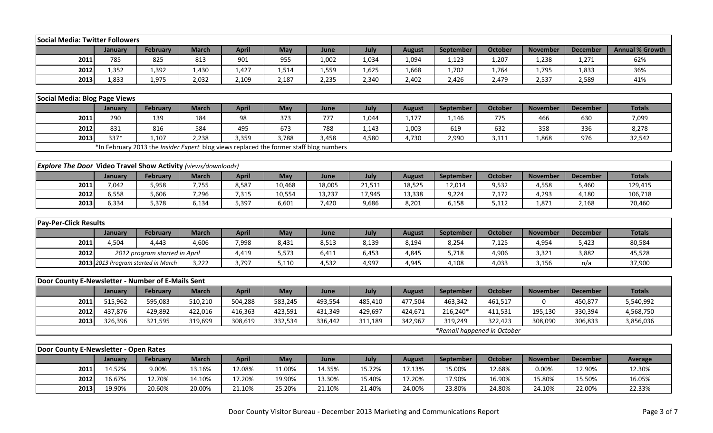| Social Media: Twitter Followers                                      |                |                                                                                        |              |              |         |         |         |               |           |                             |                 |                 |                        |
|----------------------------------------------------------------------|----------------|----------------------------------------------------------------------------------------|--------------|--------------|---------|---------|---------|---------------|-----------|-----------------------------|-----------------|-----------------|------------------------|
|                                                                      | January        | <b>February</b>                                                                        | <b>March</b> | <b>April</b> | May     | June    | July    | <b>August</b> | September | <b>October</b>              | <b>November</b> | <b>December</b> | <b>Annual % Growth</b> |
| 2011                                                                 | 785            | 825                                                                                    | 813          | 901          | 955     | 1,002   | 1,034   | 1,094         | 1,123     | 1,207                       | 1,238           | 1,271           | 62%                    |
| 2012                                                                 | 1,352          | 1,392                                                                                  | 1,430        | 1,427        | 1,514   | 1,559   | 1,625   | 1,668         | 1,702     | 1,764                       | 1,795           | 1,833           | 36%                    |
| 2013                                                                 | 1,833          | 1,975                                                                                  | 2,032        | 2,109        | 2,187   | 2,235   | 2,340   | 2,402         | 2,426     | 2,479                       | 2,537           | 2,589           | 41%                    |
|                                                                      |                |                                                                                        |              |              |         |         |         |               |           |                             |                 |                 |                        |
| Social Media: Blog Page Views                                        |                |                                                                                        |              |              |         |         |         |               |           |                             |                 |                 |                        |
|                                                                      | January        | <b>February</b>                                                                        | <b>March</b> | <b>April</b> | May     | June    | July    | <b>August</b> | September | <b>October</b>              | <b>November</b> | <b>December</b> | <b>Totals</b>          |
| 2011                                                                 | 290            | 139                                                                                    | 184          | 98           | 373     | 777     | 1,044   | 1,177         | 1,146     | 775                         | 466             | 630             | 7,099                  |
| 2012                                                                 | 831            | 816                                                                                    | 584          | 495          | 673     | 788     | 1,143   | 1,003         | 619       | 632                         | 358             | 336             | 8,278                  |
| 2013                                                                 | 337*           | 1,107                                                                                  | 2,238        | 3,359        | 3,788   | 3,458   | 4,580   | 4,730         | 2,990     | 3,111                       | 1,868           | 976             | 32,542                 |
|                                                                      |                | *In February 2013 the Insider Expert blog views replaced the former staff blog numbers |              |              |         |         |         |               |           |                             |                 |                 |                        |
|                                                                      |                |                                                                                        |              |              |         |         |         |               |           |                             |                 |                 |                        |
| <b>Explore The Door Video Travel Show Activity (views/downloads)</b> |                |                                                                                        |              |              |         |         |         |               |           |                             |                 |                 |                        |
|                                                                      | January        | <b>February</b>                                                                        | <b>March</b> | <b>April</b> | May     | June    | July    | <b>August</b> | September | <b>October</b>              | <b>November</b> | <b>December</b> | <b>Totals</b>          |
| 2011                                                                 | 7,042          | 5,958                                                                                  | 7,755        | 8,587        | 10,468  | 18,005  | 21,511  | 18,525        | 12,014    | 9,532                       | 4,558           | 5,460           | 129,415                |
| 2012                                                                 | 6,558          | 5,606                                                                                  | 7,296        | 7,315        | 10,554  | 13,237  | 17,945  | 13,338        | 9,224     | 7,172                       | 4,293           | 4,180           | 106,718                |
| 2013                                                                 | 6,334          | 5,378                                                                                  | 6,134        | 5,397        | 6,601   | 7,420   | 9,686   | 8,201         | 6,158     | 5,112                       | 1,871           | 2,168           | 70,460                 |
|                                                                      |                |                                                                                        |              |              |         |         |         |               |           |                             |                 |                 |                        |
| <b>Pay-Per-Click Results</b>                                         |                |                                                                                        |              |              |         |         |         |               |           |                             |                 |                 |                        |
|                                                                      | January        | <b>February</b>                                                                        | <b>March</b> | <b>April</b> | May     | June    | July    | <b>August</b> | September | <b>October</b>              | <b>November</b> | <b>December</b> | <b>Totals</b>          |
| 2011                                                                 | 4,504          | 4,443                                                                                  | 4,606        | 7,998        | 8,431   | 8,513   | 8,139   | 8,194         | 8,254     | 7,125                       | 4,954           | 5,423           | 80,584                 |
| 2012                                                                 |                | 2012 program started in April                                                          |              | 4,419        | 5,573   | 6,411   | 6,453   | 4,845         | 5,718     | 4,906                       | 3,321           | 3,882           | 45,528                 |
|                                                                      |                | 2013 2013 Program started in March                                                     | 3,222        | 3,797        | 5,110   | 4,532   | 4,997   | 4,945         | 4,108     | 4,033                       | 3,156           | n/a             | 37,900                 |
| Door County E-Newsletter - Number of E-Mails Sent                    |                |                                                                                        |              |              |         |         |         |               |           |                             |                 |                 |                        |
|                                                                      |                |                                                                                        |              |              |         |         |         |               |           |                             |                 |                 | <b>Totals</b>          |
|                                                                      | <b>January</b> | <b>February</b>                                                                        | <b>March</b> | <b>April</b> | May     | June    | July    | <b>August</b> | September | <b>October</b>              | <b>November</b> | <b>December</b> |                        |
| 2011                                                                 | 515,962        | 595,083                                                                                | 510,210      | 504,288      | 583,245 | 493,554 | 485,410 | 477,504       | 463,342   | 461,517                     | $\Omega$        | 450,877         | 5,540,992              |
| 2012                                                                 | 437,876        | 429,892                                                                                | 422,016      | 416,363      | 423,591 | 431,349 | 429,697 | 424,671       | 216,240*  | 411,531                     | 195,130         | 330,394         | 4,568,750              |
| 2013                                                                 | 326,396        | 321,595                                                                                | 319,699      | 308,619      | 332,534 | 336,442 | 311,189 | 342,967       | 319,249   | 322,423                     | 308,090         | 306,833         | 3,856,036              |
|                                                                      |                |                                                                                        |              |              |         |         |         |               |           | *Remail happened in October |                 |                 |                        |
| Door County E-Newsletter - Open Rates                                |                |                                                                                        |              |              |         |         |         |               |           |                             |                 |                 |                        |
|                                                                      | January        | February                                                                               | <b>March</b> | <b>April</b> | May     | June    | July    | <b>August</b> | September | <b>October</b>              | <b>November</b> | <b>December</b> | Average                |
| 2011                                                                 | 14.52%         | 9.00%                                                                                  | 13.16%       | 12.08%       | 11.00%  | 14.35%  | 15.72%  | 17.13%        | 15.00%    | 12.68%                      | 0.00%           | 12.90%          | 12.30%                 |
| 2012                                                                 | 16.67%         | 12.70%                                                                                 | 14.10%       | 17.20%       | 19.90%  | 13.30%  | 15.40%  | 17.20%        | 17.90%    | 16.90%                      | 15.80%          | 15.50%          | 16.05%                 |
| 2013                                                                 | 19.90%         | 20.60%                                                                                 | 20.00%       | 21.10%       | 25.20%  | 21.10%  | 21.40%  | 24.00%        | 23.80%    | 24.80%                      | 24.10%          | 22.00%          | 22.33%                 |
|                                                                      |                |                                                                                        |              |              |         |         |         |               |           |                             |                 |                 |                        |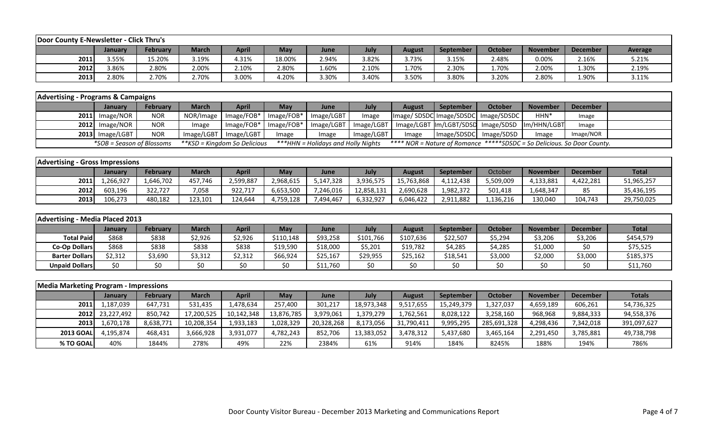| Door County E-Newsletter - Click Thru's |         |                 |              |              |            |       |       |        |                  |         |                 |          |                |
|-----------------------------------------|---------|-----------------|--------------|--------------|------------|-------|-------|--------|------------------|---------|-----------------|----------|----------------|
|                                         | Januarv | <b>February</b> | <b>March</b> | <b>April</b> | <b>May</b> | June  | July  | August | <b>September</b> | October | <b>November</b> | December | <b>Average</b> |
| 2011                                    | 3.55%   | 15.20%          | 3.19%        | 4.31%        | 18.00%     | 2.94% | 3.82% | 3.73%  | 3.15%            | 2.48%   | 0.00%           | 2.16%    | 5.21%          |
| 2012                                    | 3.86%   | 2.80%           | 2.00%        | 2.10%        | 2.80%      | L.60% | 2.10% | 1.70%  | 2.30%            | 1.70%   | 2.00%           | 1.30%    | 2.19%          |
| 2013                                    | 2.80%   | 2.70%           | 2.70%        | 3.00%        | 4.20%      | 3.30% | 3.40% | 3.50%  | 3.80%            | 3.20%   | 2.80%           | 1.90%    | 3.11%          |

| <b>Advertising - Programs &amp; Campaigns</b> |                           |                 |                              |                         |                                          |                                    |            |        |                        |                                      |                                                                              |           |  |
|-----------------------------------------------|---------------------------|-----------------|------------------------------|-------------------------|------------------------------------------|------------------------------------|------------|--------|------------------------|--------------------------------------|------------------------------------------------------------------------------|-----------|--|
|                                               | <b>January</b>            | <b>February</b> | <b>March</b>                 | <b>April</b>            | May                                      | <b>June</b>                        | July       | August | <b>September</b>       | October                              | <b>November</b>                                                              | December  |  |
|                                               | $2011$ Image/NOR          | <b>NOR</b>      |                              | NOR/Image   Image/FOB*  | $\blacksquare$ Image/FOB* $\blacksquare$ | Image/LGBT                         | Image      |        |                        | Image/SDSDC Image/SDSDC  Image/SDSDC | HHN*                                                                         | Image     |  |
|                                               | $2012$ Image/NOR          | <b>NOR</b>      | Image                        | Image/FOB*              | $\mid$ Image/FOB*                        |                                    |            |        |                        |                                      | Image/LGBT   Image/LGBT   Image/LGBT  Im/LGBT/SDSD   Image/SDSD  Im/HHN/LGBT | Image     |  |
|                                               | $2013$ Image/LGBT         | <b>NOR</b>      |                              | Image/LGBT   Image/LGBT | mage                                     | Image                              | Image/LGBT | Image  | Image/SDSDC Image/SDSD |                                      | Image                                                                        | Image/NOR |  |
|                                               | *SOB = Season of Blossoms |                 | **KSD = Kingdom So Delicious |                         |                                          | ***HHN = Holidays and Holly Nights |            |        |                        |                                      | **** NOR = Nature of Romance *****SDSDC = So Delicious. So Door County.      |           |  |

| <b>Advertising - Gross Impressions</b> |                |           |              |           |           |             |            |            |                  |           |                 |                 |              |
|----------------------------------------|----------------|-----------|--------------|-----------|-----------|-------------|------------|------------|------------------|-----------|-----------------|-----------------|--------------|
|                                        | <b>January</b> | February  | <b>March</b> | April     | May       | <b>June</b> | July       | August     | <b>September</b> | October   | <b>November</b> | <b>December</b> | <b>Total</b> |
| 2011                                   | .,266,927      | 1,646,702 | 457.746      | 2,599,887 | 2,968,615 | 5,147,328   | 3,936,575  | 15,763,868 | 4,112,438        | 5,509,009 | 4,133,881       | 4,422,281       | 51,965,257   |
| 2012                                   | 603,196        | 322,727   | 7,058        | 922,717   | 6,653,500 | 7,246,016   | 12,858,131 | 2,690,628  | 1,982,372        | 501,418   | .,648,347       | 85              | 35,436,195   |
| 2013                                   | 106,273        | 480,182   | 123,101      | 124,644   | 4,759,128 | 7,494,467   | 6,332,927  | 6,046,422  | 2,911,882        | 1,136,216 | 130,040         | 104,743         | 29,750,025   |

| Advertising - Media Placed 2013 |         |                 |              |              |           |          |           |           |                  |         |                 |                 |              |
|---------------------------------|---------|-----------------|--------------|--------------|-----------|----------|-----------|-----------|------------------|---------|-----------------|-----------------|--------------|
|                                 | January | <b>February</b> | <b>March</b> | <b>April</b> | Mav       | June     | July      | August    | <b>September</b> | October | <b>November</b> | <b>December</b> | <b>Total</b> |
| <b>Total Paid</b>               | \$868   | \$838           | 2,926خ       | \$2,926      | \$110,148 | \$93,258 | \$101,766 | \$107,636 | \$22,507         | \$5,294 | \$3,206         | \$3,206         | \$454,579    |
| <b>Co-Op Dollars</b>            | \$868   | \$838           | \$838        | \$838        | \$19,590  | \$18,000 | \$5,201   | \$19,782  | \$4,285          | \$4,285 | \$1,000         |                 | \$75,525     |
| <b>Barter Dollars</b>           | \$2,312 | \$3,690         | \$3,312      | \$2,312      | \$66,924  | \$25,167 | \$29,955  | \$25,162  | \$18,541         | \$3,000 | \$2,000         | \$3,000         | \$185,375    |
| <b>Unpaid Dollars</b>           | \$0     |                 |              | \$0          | \$0       | \$11,760 | \$0       | \$0       | \$0              |         |                 |                 | \$11,760     |

| <b>Media Marketing Program - Impressions</b> |                 |           |              |              |            |            |            |               |            |             |                 |                 |               |
|----------------------------------------------|-----------------|-----------|--------------|--------------|------------|------------|------------|---------------|------------|-------------|-----------------|-----------------|---------------|
|                                              | January         | February  | <b>March</b> | <b>April</b> | May        | June       | July       | <b>August</b> | September  | October     | <b>November</b> | <b>December</b> | <b>Totals</b> |
| 2011                                         | 1,187,039       | 647,731   | 531,435      | 1,478,634    | 257,400    | 301,217    | 18,973,348 | 9,517,655     | 15,249,379 | 1,327,037   | 4,659,189       | 606,261         | 54,736,325    |
|                                              | 2012 23,227,492 | 850,742   | 17,200,525   | 10,142,348   | 13,876,785 | 3,979,061  | 1,379,279  | 1,762,561     | 8,028,122  | 3,258,160   | 968,968         | 9,884,333       | 94,558,376    |
| 2013                                         | 1,670,178       | 8,638,771 | 10,208,354   | 1,933,183    | 1,028,329  | 20,328,268 | 8,173,056  | 31,790,411    | 9,995,295  | 285,691,328 | 4,298,436       | 7,342,018       | 391,097,627   |
| <b>2013 GOAL</b>                             | 4.195.874       | 468,431   | 3,666,928    | 3,931,077    | 4,782,243  | 852.706    | 13,383,052 | 3,478,312     | 5,437,680  | 3,465,164   | 2,291,450       | 3,785,881       | 49,738,798    |
| % TO GOAL                                    | 40%             | 1844%     | 278%         | 49%          | 22%        | 2384%      | 61%        | 914%          | 184%       | 8245%       | 188%            | 194%            | 786%          |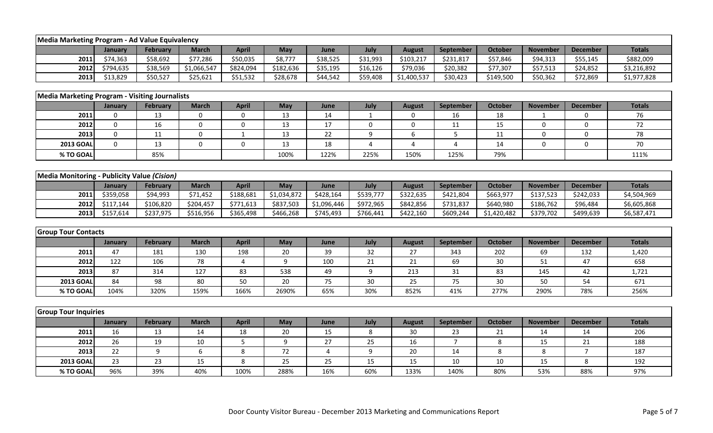| Media Marketing Program - Ad Value Equivalency        |             |                 |                  |                  |             |             |                |                  |                |                |                 |                 |               |
|-------------------------------------------------------|-------------|-----------------|------------------|------------------|-------------|-------------|----------------|------------------|----------------|----------------|-----------------|-----------------|---------------|
|                                                       | January     | <b>February</b> | <b>March</b>     | <b>April</b>     | May         | June        | July           | <b>August</b>    | September      | <b>October</b> | <b>November</b> | <b>December</b> | <b>Totals</b> |
| 2011                                                  | \$74,363    | \$58,692        | \$77,286         | \$50,035         | \$8,777     | \$38,525    | \$31,993       | \$103,217        | \$231,817      | \$57,846       | \$94,313        | \$55,145        | \$882,009     |
| 2012                                                  | \$794,635   | \$38,569        | \$1,066,547      | \$824,094        | \$182,636   | \$35,195    | \$16,126       | \$79,036         | \$20,382       | \$77,307       | \$57,513        | \$24,852        | \$3,216,892   |
| 2013                                                  | \$13,829    | \$50,527        | \$25,621         | \$51,532         | \$28,678    | \$44,542    | \$59,408       | \$1,400,537      | \$30,423       | \$149,500      | \$50,362        | \$72,869        | \$1,977,828   |
|                                                       |             |                 |                  |                  |             |             |                |                  |                |                |                 |                 |               |
| <b>Media Marketing Program - Visiting Journalists</b> |             |                 |                  |                  |             |             |                |                  |                |                |                 |                 |               |
|                                                       | January     | February        | <b>March</b>     | <b>April</b>     | May         | June        | July           | <b>August</b>    | September      | <b>October</b> | <b>November</b> | <b>December</b> | <b>Totals</b> |
| 2011                                                  | 0           | 13              | 0                | 0                | 13          | 14          | $\mathbf{1}$   | 0                | 16             | 18             | -1              | 0               | 76            |
| 2012                                                  | $\pmb{0}$   | 16              | $\pmb{0}$        | 0                | 13          | 17          | $\pmb{0}$      | $\boldsymbol{0}$ | 11             | 15             | 0               | $\mathbf 0$     | 72            |
| 2013                                                  | $\mathbf 0$ | 11              | $\mathbf 0$      | $\mathbf{1}$     | 13          | 22          | 9              | 6                | $5\phantom{.}$ | 11             | 0               | 0               | 78            |
| <b>2013 GOAL</b>                                      | $\mathbf 0$ | 13              | $\mathbf 0$      | $\boldsymbol{0}$ | 13          | 18          | $\overline{4}$ | 4                | $\overline{4}$ | 14             | 0               | $\mathbf 0$     | 70            |
| % TO GOAL                                             |             | 85%             |                  |                  | 100%        | 122%        | 225%           | 150%             | 125%           | 79%            |                 |                 | 111%          |
|                                                       |             |                 |                  |                  |             |             |                |                  |                |                |                 |                 |               |
| Media Monitoring - Publicity Value (Cision)           |             |                 |                  |                  |             |             |                |                  |                |                |                 |                 |               |
|                                                       | January     | <b>February</b> | <b>March</b>     | <b>April</b>     | May         | June        | July           | <b>August</b>    | September      | <b>October</b> | <b>November</b> | <b>December</b> | <b>Totals</b> |
| 2011                                                  | \$359,058   | \$94,993        | \$71,452         | \$188,681        | \$1,034,872 | \$428,164   | \$539,777      | \$322,635        | \$421,804      | \$663,977      | \$137,523       | \$242,033       | \$4,504,969   |
| 2012                                                  | \$117,144   | \$106,820       | \$204,457        | \$771,613        | \$837,503   | \$1,096,446 | \$972,965      | \$842,856        | \$731,837      | \$640,980      | \$186,762       | \$96,484        | \$6,605,868   |
| 2013                                                  | \$157,614   | \$237,975       | \$516,956        | \$365,498        | \$466,268   | \$745,493   | \$766,441      | \$422,160        | \$609,244      | \$1,420,482    | \$379,702       | \$499,639       | \$6,587,471   |
|                                                       |             |                 |                  |                  |             |             |                |                  |                |                |                 |                 |               |
| <b>Group Tour Contacts</b>                            |             |                 |                  |                  |             |             |                |                  |                |                |                 |                 |               |
|                                                       | January     | <b>February</b> | <b>March</b>     | <b>April</b>     | May         | June        | July           | <b>August</b>    | September      | <b>October</b> | <b>November</b> | <b>December</b> | <b>Totals</b> |
| 2011                                                  | 47          | 181             | 130              | 198              | 20          | 39          | 32             | 27               | 343            | 202            | 69              | 132             | 1,420         |
| 2012                                                  | 122         | 106             | 78               | 4                | 9           | 100         | 21             | 21               | 69             | 30             | 51              | 47              | 658           |
| 2013                                                  | 87          | 314             | 127              | 83               | 538         | 49          | 9              | 213              | 31             | 83             | 145             | 42              | 1,721         |
| <b>2013 GOAL</b>                                      | 84          | 98              | 80               | 50               | 20          | 75          | 30             | 25               | 75             | 30             | 50              | 54              | 671           |
| % TO GOAL                                             | 104%        | 320%            | 159%             | 166%             | 2690%       | 65%         | 30%            | 852%             | 41%            | 277%           | 290%            | 78%             | 256%          |
|                                                       |             |                 |                  |                  |             |             |                |                  |                |                |                 |                 |               |
| <b>Group Tour Inquiries</b>                           |             |                 |                  |                  |             |             |                |                  |                |                |                 |                 |               |
|                                                       | January     | February        | <b>March</b>     | <b>April</b>     | May         | June        | July           | <b>August</b>    | September      | <b>October</b> | <b>November</b> | <b>December</b> | <b>Totals</b> |
| 2011                                                  | 16          | 13              | 14               | 18               | 20          | 15          | 8              | 30               | 23             | 21             | 14              | 14              | 206           |
| 2012                                                  | 26          | 19              | 10               | 5                | 9           | 27          | 25             | 16               | $\overline{7}$ | $\,8\,$        | 15              | 21              | 188           |
| 2013                                                  | 22          | $9\,$           | $\boldsymbol{6}$ | $\,8\,$          | 72          | 4           | 9              | 20               | 14             | 8              | 8               | $\overline{7}$  | 187           |
| <b>2013 GOAL</b>                                      | 23          | 23              | 15               | 8                | 25          | 25          | 15             | 15               | 10             | 10             | 15              | 8               | 192           |
| % TO GOAL                                             | 96%         | 39%             | 40%              | 100%             | 288%        | 16%         | 60%            | 133%             | 140%           | 80%            | 53%             | 88%             | 97%           |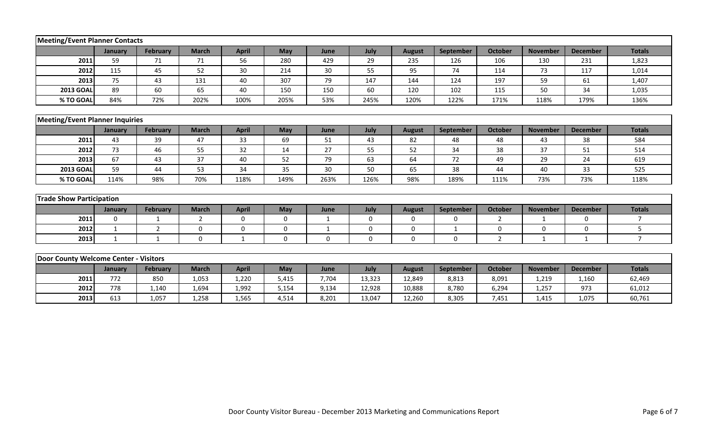| <b>Meeting/Event Planner Contacts</b>  |              |                 |              |              |          |              |             |               |                  |                |                 |                 |                |
|----------------------------------------|--------------|-----------------|--------------|--------------|----------|--------------|-------------|---------------|------------------|----------------|-----------------|-----------------|----------------|
|                                        | January      | <b>February</b> | <b>March</b> | <b>April</b> | May      | June         | July        | <b>August</b> | <b>September</b> | <b>October</b> | <b>November</b> | <b>December</b> | <b>Totals</b>  |
| 2011                                   | 59           | 71              | 71           | 56           | 280      | 429          | 29          | 235           | 126              | 106            | 130             | 231             | 1,823          |
| 2012                                   | 115          | 45              | 52           | 30           | 214      | 30           | 55          | 95            | 74               | 114            | 73              | 117             | 1,014          |
| 2013                                   | 75           | 43              | 131          | 40           | 307      | 79           | 147         | 144           | 124              | 197            | 59              | 61              | 1,407          |
| <b>2013 GOAL</b>                       | 89           | 60              | 65           | 40           | 150      | 150          | 60          | 120           | 102              | 115            | 50              | 34              | 1,035          |
| % TO GOAL                              | 84%          | 72%             | 202%         | 100%         | 205%     | 53%          | 245%        | 120%          | 122%             | 171%           | 118%            | 179%            | 136%           |
| <b>Meeting/Event Planner Inquiries</b> |              |                 |              |              |          |              |             |               |                  |                |                 |                 |                |
|                                        | January      | <b>February</b> | <b>March</b> | <b>April</b> | May      | June         | July        | <b>August</b> | September        | <b>October</b> | <b>November</b> | <b>December</b> | <b>Totals</b>  |
| 2011                                   | 43           | 39              | 47           | 33           | 69       | 51           | 43          | 82            | 48               | 48             | 43              | 38              | 584            |
| 2012                                   | 73           | 46              | 55           | 32           | 14       | 27           | 55          | 52            | 34               | 38             | 37              | 51              | 514            |
| 2013                                   | 67           | 43              | 37           | 40           | 52       | 79           | 63          | 64            | 72               | 49             | 29              | 24              | 619            |
| <b>2013 GOAL</b>                       | 59           | 44              | 53           | 34           | 35       | 30           | 50          | 65            | 38               | 44             | 40              | 33              | 525            |
| % TO GOAL                              | 114%         | 98%             | 70%          | 118%         | 149%     | 263%         | 126%        | 98%           | 189%             | 111%           | 73%             | 73%             | 118%           |
| <b>Trade Show Participation</b>        |              |                 |              |              |          |              |             |               |                  |                |                 |                 |                |
|                                        | January      | <b>February</b> | <b>March</b> | <b>April</b> | May      | June         | July        | <b>August</b> | September        | <b>October</b> | <b>November</b> | <b>December</b> | <b>Totals</b>  |
| 2011                                   | $\Omega$     | 1               | 2            | $\mathbf 0$  | $\Omega$ | $\mathbf{1}$ | $\mathbf 0$ | $\mathbf 0$   | $\mathbf{0}$     | $\overline{2}$ | 1               | $\Omega$        | $\overline{7}$ |
| 2012                                   | $\mathbf 1$  | 2               | 0            | 0            | 0        | 1            | 0           | $\mathbf 0$   | $\mathbf{1}$     | 0              | 0               | 0               | 5              |
| 2013                                   | $\mathbf{1}$ | $\mathbf{1}$    | $\Omega$     | $\mathbf{1}$ | 0        | 0            | $\mathbf 0$ | $\mathbf 0$   | $\mathbf 0$      | $\overline{2}$ | 1               | $\mathbf{1}$    | $\overline{7}$ |
|                                        |              |                 |              |              |          |              |             |               |                  |                |                 |                 |                |
| Door County Welcome Center - Visitors  |              |                 |              |              |          |              |             |               |                  |                |                 |                 |                |
|                                        | January      | <b>February</b> | <b>March</b> | <b>April</b> | May      | June         | July        | <b>August</b> | September        | <b>October</b> | <b>November</b> | <b>December</b> | <b>Totals</b>  |
| 2011                                   | 772          | 850             | 1,053        | 1,220        | 5,415    | 7,704        | 13,323      | 12,849        | 8,813            | 8,091          | 1,219           | 1,160           | 62,469         |
| 2012                                   | 778          | 1,140           | 1,694        | 1,992        | 5,154    | 9,134        | 12,928      | 10,888        | 8,780            | 6,294          | 1,257           | 973             | 61,012         |
| 2013                                   | 613          | 1,057           | 1,258        | 1,565        | 4,514    | 8,201        | 13,047      | 12,260        | 8,305            | 7,451          | 1,415           | 1,075           | 60,761         |